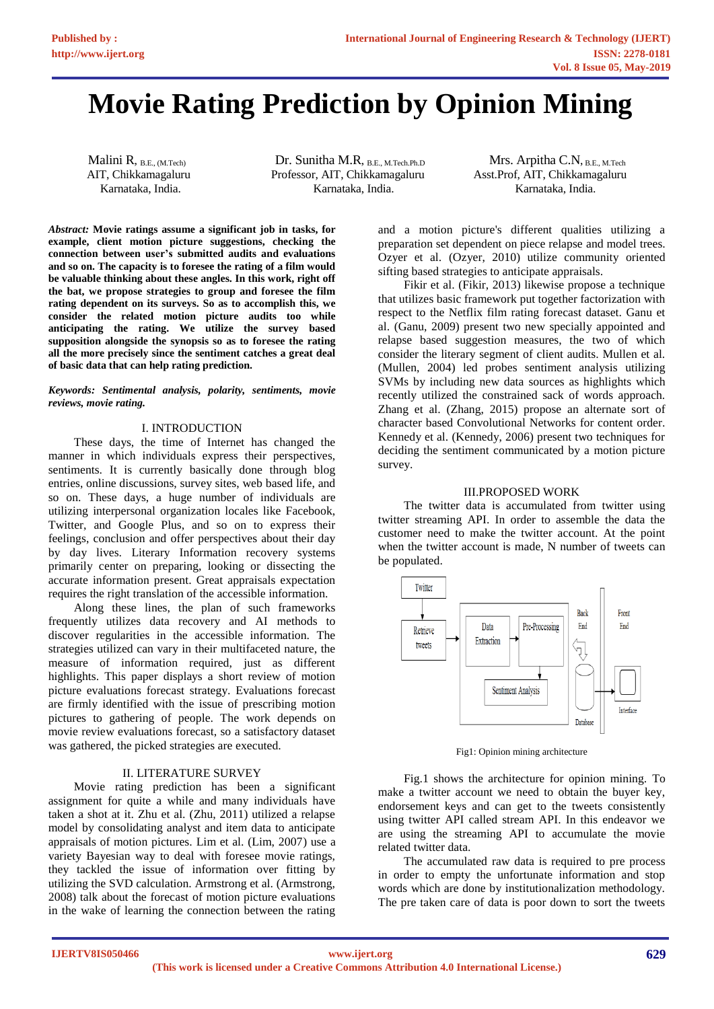# **Movie Rating Prediction by Opinion Mining**

Malini R, B.E., (M.Tech) Dr. Sunitha M.R, B.E., M.Tech.Ph.D Mrs. Arpitha C.N, B.E., M.Tech AIT, Chikkamagaluru Professor, AIT, Chikkamagaluru Asst.Prof, AIT, Chikkamagaluru Karnataka, India. Karnataka, India. Karnataka, India.

*Abstract:* **Movie ratings assume a significant job in tasks, for example, client motion picture suggestions, checking the connection between user's submitted audits and evaluations and so on. The capacity is to foresee the rating of a film would be valuable thinking about these angles. In this work, right off the bat, we propose strategies to group and foresee the film rating dependent on its surveys. So as to accomplish this, we consider the related motion picture audits too while anticipating the rating. We utilize the survey based supposition alongside the synopsis so as to foresee the rating all the more precisely since the sentiment catches a great deal of basic data that can help rating prediction.**

#### *Keywords: Sentimental analysis, polarity, sentiments, movie reviews, movie rating.*

## I. INTRODUCTION

These days, the time of Internet has changed the manner in which individuals express their perspectives, sentiments. It is currently basically done through blog entries, online discussions, survey sites, web based life, and so on. These days, a huge number of individuals are utilizing interpersonal organization locales like Facebook, Twitter, and Google Plus, and so on to express their feelings, conclusion and offer perspectives about their day by day lives. Literary Information recovery systems primarily center on preparing, looking or dissecting the accurate information present. Great appraisals expectation requires the right translation of the accessible information.

Along these lines, the plan of such frameworks frequently utilizes data recovery and AI methods to discover regularities in the accessible information. The strategies utilized can vary in their multifaceted nature, the measure of information required, just as different highlights. This paper displays a short review of motion picture evaluations forecast strategy. Evaluations forecast are firmly identified with the issue of prescribing motion pictures to gathering of people. The work depends on movie review evaluations forecast, so a satisfactory dataset was gathered, the picked strategies are executed.

## II. LITERATURE SURVEY

Movie rating prediction has been a significant assignment for quite a while and many individuals have taken a shot at it. Zhu et al. (Zhu, 2011) utilized a relapse model by consolidating analyst and item data to anticipate appraisals of motion pictures. Lim et al. (Lim, 2007) use a variety Bayesian way to deal with foresee movie ratings, they tackled the issue of information over fitting by utilizing the SVD calculation. Armstrong et al. (Armstrong, 2008) talk about the forecast of motion picture evaluations in the wake of learning the connection between the rating

and a motion picture's different qualities utilizing a preparation set dependent on piece relapse and model trees. Ozyer et al. (Ozyer, 2010) utilize community oriented sifting based strategies to anticipate appraisals.

Fikir et al. (Fikir, 2013) likewise propose a technique that utilizes basic framework put together factorization with respect to the Netflix film rating forecast dataset. Ganu et al. (Ganu, 2009) present two new specially appointed and relapse based suggestion measures, the two of which consider the literary segment of client audits. Mullen et al. (Mullen, 2004) led probes sentiment analysis utilizing SVMs by including new data sources as highlights which recently utilized the constrained sack of words approach. Zhang et al. (Zhang, 2015) propose an alternate sort of character based Convolutional Networks for content order. Kennedy et al. (Kennedy, 2006) present two techniques for deciding the sentiment communicated by a motion picture survey.

# III.PROPOSED WORK

The twitter data is accumulated from twitter using twitter streaming API. In order to assemble the data the customer need to make the twitter account. At the point when the twitter account is made, N number of tweets can be populated.



Fig1: Opinion mining architecture

Fig.1 shows the architecture for opinion mining. To make a twitter account we need to obtain the buyer key, endorsement keys and can get to the tweets consistently using twitter API called stream API. In this endeavor we are using the streaming API to accumulate the movie related twitter data.

The accumulated raw data is required to pre process in order to empty the unfortunate information and stop words which are done by institutionalization methodology. The pre taken care of data is poor down to sort the tweets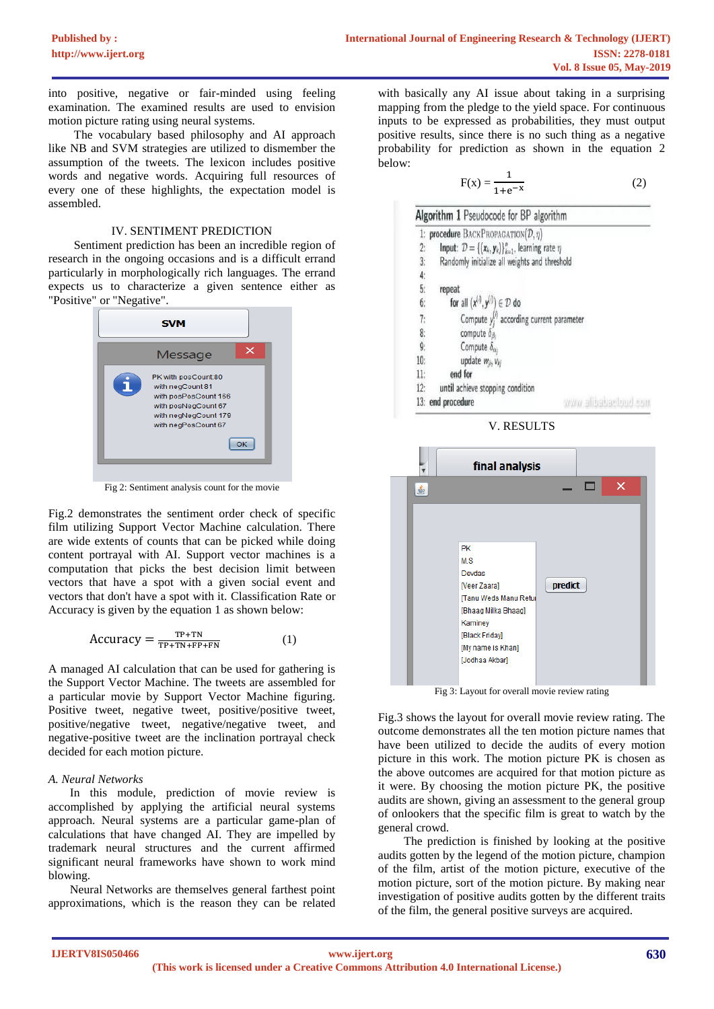into positive, negative or fair-minded using feeling examination. The examined results are used to envision motion picture rating using neural systems.

The vocabulary based philosophy and AI approach like NB and SVM strategies are utilized to dismember the assumption of the tweets. The lexicon includes positive words and negative words. Acquiring full resources of every one of these highlights, the expectation model is assembled.

## IV. SENTIMENT PREDICTION

Sentiment prediction has been an incredible region of research in the ongoing occasions and is a difficult errand particularly in morphologically rich languages. The errand expects us to characterize a given sentence either as "Positive" or "Negative".



Fig 2: Sentiment analysis count for the movie

Fig.2 demonstrates the sentiment order check of specific film utilizing Support Vector Machine calculation. There are wide extents of counts that can be picked while doing content portrayal with AI. Support vector machines is a computation that picks the best decision limit between vectors that have a spot with a given social event and vectors that don't have a spot with it. Classification Rate or Accuracy is given by the equation 1 as shown below:

$$
Accuracy = \frac{TP + TN}{TP + TN + FP + FN}
$$
 (1)

A managed AI calculation that can be used for gathering is the Support Vector Machine. The tweets are assembled for a particular movie by Support Vector Machine figuring. Positive tweet, negative tweet, positive/positive tweet, positive/negative tweet, negative/negative tweet, and negative-positive tweet are the inclination portrayal check decided for each motion picture.

# *A. Neural Networks*

In this module, prediction of movie review is accomplished by applying the artificial neural systems approach. Neural systems are a particular game-plan of calculations that have changed AI. They are impelled by trademark neural structures and the current affirmed significant neural frameworks have shown to work mind blowing.

Neural Networks are themselves general farthest point approximations, which is the reason they can be related

with basically any AI issue about taking in a surprising mapping from the pledge to the yield space. For continuous inputs to be expressed as probabilities, they must output positive results, since there is no such thing as a negative probability for prediction as shown in the equation 2 below:

$$
F(x) = \frac{1}{1 + e^{-x}}
$$
 (2)

|               | 1: procedure BACKPROPAGATION $(\mathcal{D}, \eta)$                                            |
|---------------|-----------------------------------------------------------------------------------------------|
|               |                                                                                               |
| 2:            | <b>Input:</b> $\mathcal{D} = \{(\mathbf{x}_k, \mathbf{y}_k)\}_{k=1}^n$ , learning rate $\eta$ |
| 3:            | Randomly initialize all weights and threshold                                                 |
|               |                                                                                               |
| $rac{4}{5}$   | repeat                                                                                        |
|               | for all $(x^{(i)}, y^{(i)}) \in \mathcal{D}$ do                                               |
| $6:$ 7: 8: 9: | Compute $y_i^{(i)}$ according current parameter                                               |
|               | compute $\delta_{\beta_i}$                                                                    |
|               | Compute $\delta_{\alpha_i}$                                                                   |
| 10:           | update wij, Vkj                                                                               |
| 11:           | end for                                                                                       |
| 12:           | until achieve stopping condition                                                              |
|               | www.allighaetoud.com<br>13: end procedure                                                     |



V. RESULTS

Fig 3: Layout for overall movie review rating

Fig.3 shows the layout for overall movie review rating. The outcome demonstrates all the ten motion picture names that have been utilized to decide the audits of every motion picture in this work. The motion picture PK is chosen as the above outcomes are acquired for that motion picture as it were. By choosing the motion picture PK, the positive audits are shown, giving an assessment to the general group of onlookers that the specific film is great to watch by the general crowd.

The prediction is finished by looking at the positive audits gotten by the legend of the motion picture, champion of the film, artist of the motion picture, executive of the motion picture, sort of the motion picture. By making near investigation of positive audits gotten by the different traits of the film, the general positive surveys are acquired.